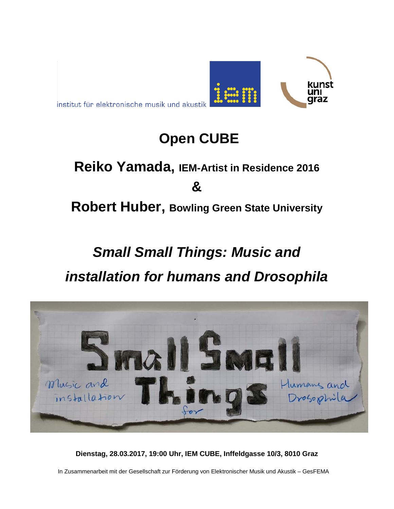institut für elektronische musik und akustik

### **Open CUBE**

kunst

raz

# **Reiko Yamada, IEM-Artist in Residence 2016 &**

**Robert Huber, Bowling Green State University**

## *Small Small Things: Music and installation for humans and Drosophila*



**Dienstag, 28.03.2017, 19:00 Uhr, IEM CUBE, Inffeldgasse 10/3, 8010 Graz**

In Zusammenarbeit mit der Gesellschaft zur Förderung von Elektronischer Musik und Akustik – GesFEMA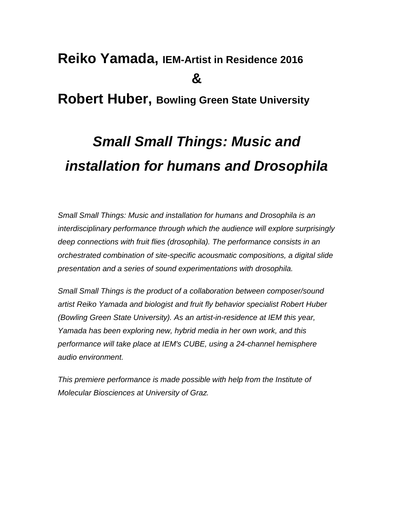### **Reiko Yamada, IEM-Artist in Residence 2016 &**

#### **Robert Huber, Bowling Green State University**

## *Small Small Things: Music and installation for humans and Drosophila*

*Small Small Things: Music and installation for humans and Drosophila is an interdisciplinary performance through which the audience will explore surprisingly deep connections with fruit flies (drosophila). The performance consists in an orchestrated combination of site-specific acousmatic compositions, a digital slide presentation and a series of sound experimentations with drosophila.*

*Small Small Things is the product of a collaboration between composer/sound artist Reiko Yamada and biologist and fruit fly behavior specialist Robert Huber (Bowling Green State University). As an artist-in-residence at IEM this year, Yamada has been exploring new, hybrid media in her own work, and this performance will take place at IEM's CUBE, using a 24-channel hemisphere audio environment.*

*This premiere performance is made possible with help from the Institute of Molecular Biosciences at University of Graz.*